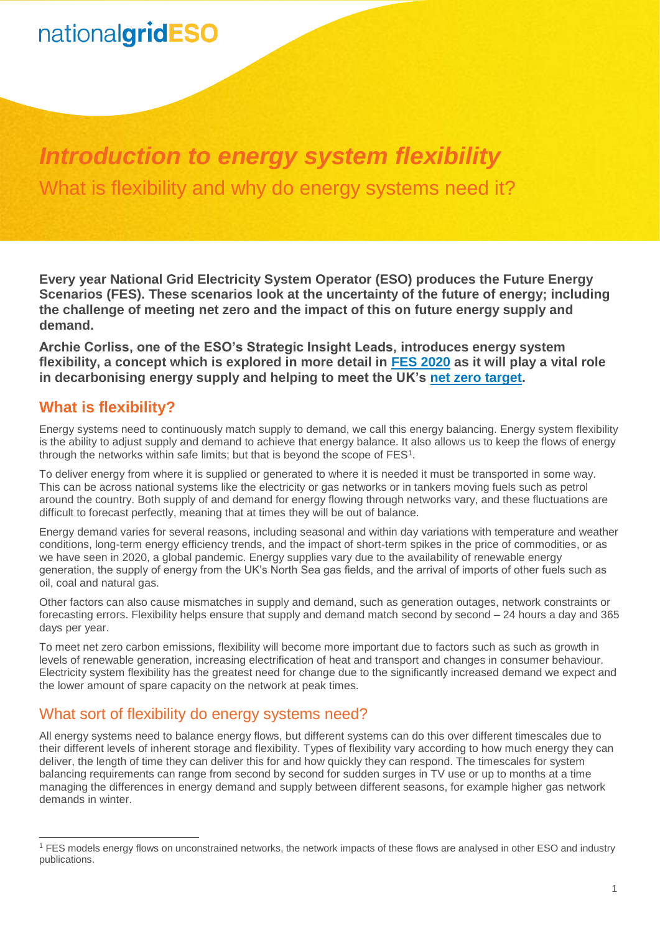## nationalgridESO

## *Introduction to energy system flexibility* What is flexibility and why do energy systems need it?

**Every year National Grid Electricity System Operator (ESO) produces the Future Energy Scenarios (FES). These scenarios look at the uncertainty of the future of energy; including the challenge of meeting net zero and the impact of this on future energy supply and demand.**

**Archie Corliss, one of the ESO's Strategic Insight Leads, introduces energy system flexibility, a concept which is explored in more detail in [FES 2020](https://www.nationalgrideso.com/future-energy/future-energy-scenarios/fes-2020-documents) as it will play a vital role in decarbonising energy supply and helping to meet the UK's [net zero target.](https://www.nationalgrideso.com/news/fes-2020-what-does-net-zero-target-really-mean)**

### **What is flexibility?**

 $\overline{a}$ 

Energy systems need to continuously match supply to demand, we call this energy balancing. Energy system flexibility is the ability to adjust supply and demand to achieve that energy balance. It also allows us to keep the flows of energy through the networks within safe limits; but that is beyond the scope of  $FES<sup>1</sup>$ .

To deliver energy from where it is supplied or generated to where it is needed it must be transported in some way. This can be across national systems like the electricity or gas networks or in tankers moving fuels such as petrol around the country. Both supply of and demand for energy flowing through networks vary, and these fluctuations are difficult to forecast perfectly, meaning that at times they will be out of balance.

Energy demand varies for several reasons, including seasonal and within day variations with temperature and weather conditions, long-term energy efficiency trends, and the impact of short-term spikes in the price of commodities, or as we have seen in 2020, a global pandemic. Energy supplies vary due to the availability of renewable energy generation, the supply of energy from the UK's North Sea gas fields, and the arrival of imports of other fuels such as oil, coal and natural gas.

Other factors can also cause mismatches in supply and demand, such as generation outages, network constraints or forecasting errors. Flexibility helps ensure that supply and demand match second by second – 24 hours a day and 365 days per year.

To meet net zero carbon emissions, flexibility will become more important due to factors such as such as growth in levels of renewable generation, increasing electrification of heat and transport and changes in consumer behaviour. Electricity system flexibility has the greatest need for change due to the significantly increased demand we expect and the lower amount of spare capacity on the network at peak times.

### What sort of flexibility do energy systems need?

All energy systems need to balance energy flows, but different systems can do this over different timescales due to their different levels of inherent storage and flexibility. Types of flexibility vary according to how much energy they can deliver, the length of time they can deliver this for and how quickly they can respond. The timescales for system balancing requirements can range from second by second for sudden surges in TV use or up to months at a time managing the differences in energy demand and supply between different seasons, for example higher gas network demands in winter.

<sup>1</sup> FES models energy flows on unconstrained networks, the network impacts of these flows are analysed in other ESO and industry publications.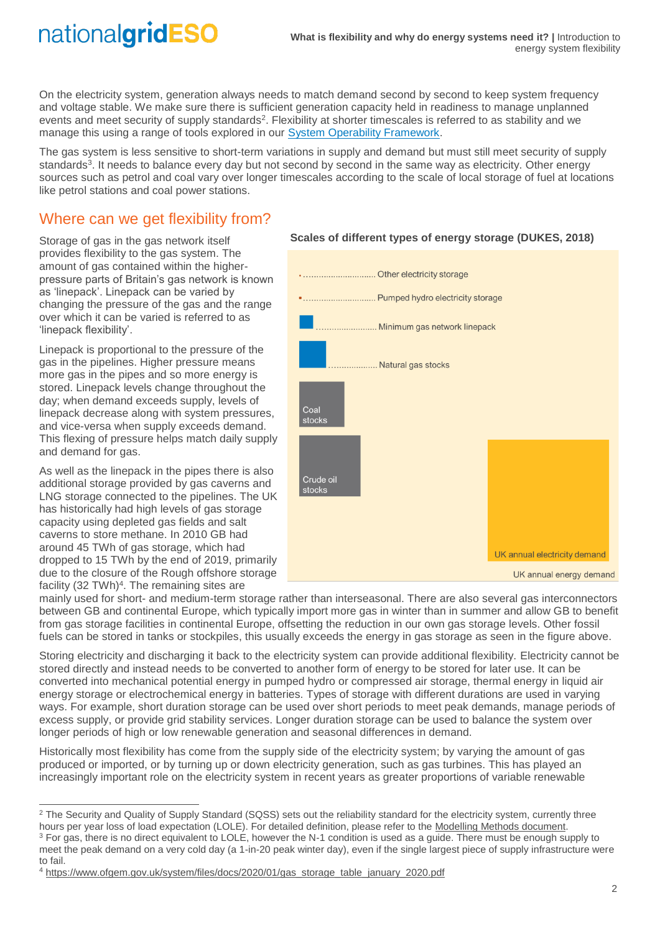# nationalgridESO

On the electricity system, generation always needs to match demand second by second to keep system frequency and voltage stable. We make sure there is sufficient generation capacity held in readiness to manage unplanned events and meet security of supply standards<sup>2</sup>. Flexibility at shorter timescales is referred to as stability and we manage this using a range of tools explored in our [System Operability Framework.](https://www.nationalgrideso.com/research-publications/system-operability-framework-sof)

The gas system is less sensitive to short-term variations in supply and demand but must still meet security of supply standards<sup>3</sup>. It needs to balance every day but not second by second in the same way as electricity. Other energy sources such as petrol and coal vary over longer timescales according to the scale of local storage of fuel at locations like petrol stations and coal power stations.

## Where can we get flexibility from?

Storage of gas in the gas network itself provides flexibility to the gas system. The amount of gas contained within the higherpressure parts of Britain's gas network is known as 'linepack'. Linepack can be varied by changing the pressure of the gas and the range over which it can be varied is referred to as 'linepack flexibility'.

Linepack is proportional to the pressure of the gas in the pipelines. Higher pressure means more gas in the pipes and so more energy is stored. Linepack levels change throughout the day; when demand exceeds supply, levels of linepack decrease along with system pressures, and vice-versa when supply exceeds demand. This flexing of pressure helps match daily supply and demand for gas.

As well as the linepack in the pipes there is also additional storage provided by gas caverns and LNG storage connected to the pipelines. The UK has historically had high levels of gas storage capacity using depleted gas fields and salt caverns to store methane. In 2010 GB had around 45 TWh of gas storage, which had dropped to 15 TWh by the end of 2019, primarily due to the closure of the Rough offshore storage facility (32 TWh)<sup>4</sup>. The remaining sites are

 $\overline{a}$ 



#### **Scales of different types of energy storage (DUKES, 2018)**

UK annual energy demand

mainly used for short- and medium-term storage rather than interseasonal. There are also several gas interconnectors between GB and continental Europe, which typically import more gas in winter than in summer and allow GB to benefit from gas storage facilities in continental Europe, offsetting the reduction in our own gas storage levels. Other fossil fuels can be stored in tanks or stockpiles, this usually exceeds the energy in gas storage as seen in the figure above.

Storing electricity and discharging it back to the electricity system can provide additional flexibility. Electricity cannot be stored directly and instead needs to be converted to another form of energy to be stored for later use. It can be converted into mechanical potential energy in pumped hydro or compressed air storage, thermal energy in liquid air energy storage or electrochemical energy in batteries. Types of storage with different durations are used in varying ways. For example, short duration storage can be used over short periods to meet peak demands, manage periods of excess supply, or provide grid stability services. Longer duration storage can be used to balance the system over longer periods of high or low renewable generation and seasonal differences in demand.

Historically most flexibility has come from the supply side of the electricity system; by varying the amount of gas produced or imported, or by turning up or down electricity generation, such as gas turbines. This has played an increasingly important role on the electricity system in recent years as greater proportions of variable renewable

 $2$  The Security and Quality of Supply Standard (SQSS) sets out the reliability standard for the electricity system, currently three hours per year loss of load expectation (LOLE). For detailed definition, please refer to the [Modelling Methods document.](https://www.nationalgrideso.com/future-energy/future-energy-scenarios/fes-2020-documents) <sup>3</sup> For gas, there is no direct equivalent to LOLE, however the N-1 condition is used as a guide. There must be enough supply to meet the peak demand on a very cold day (a 1-in-20 peak winter day), even if the single largest piece of supply infrastructure were to fail.

<sup>4</sup> [https://www.ofgem.gov.uk/system/files/docs/2020/01/gas\\_storage\\_table\\_january\\_2020.pdf](https://www.ofgem.gov.uk/system/files/docs/2020/01/gas_storage_table_january_2020.pdf)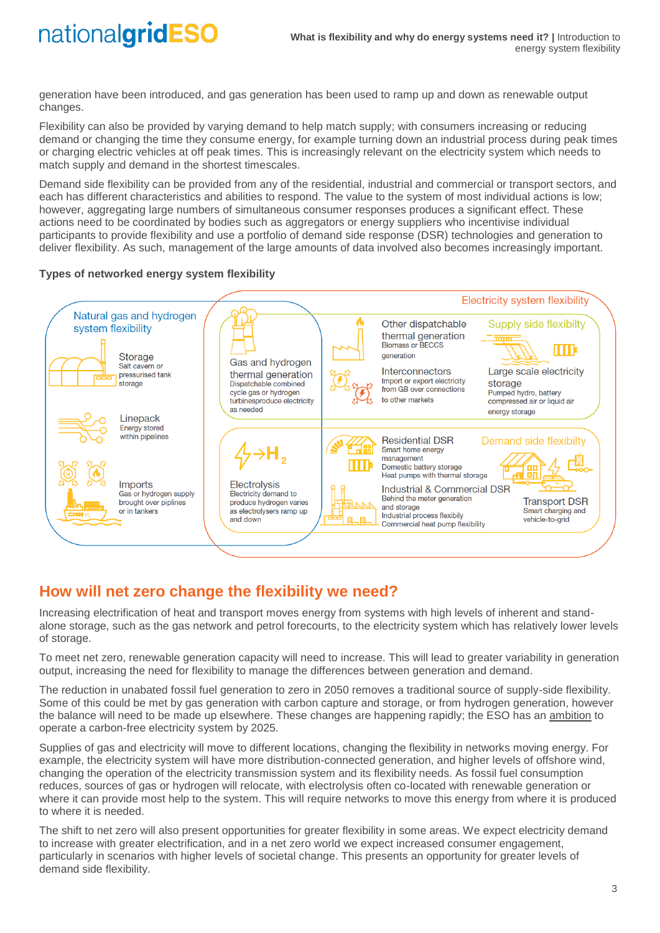# nationalgridESO

generation have been introduced, and gas generation has been used to ramp up and down as renewable output changes.

Flexibility can also be provided by varying demand to help match supply; with consumers increasing or reducing demand or changing the time they consume energy, for example turning down an industrial process during peak times or charging electric vehicles at off peak times. This is increasingly relevant on the electricity system which needs to match supply and demand in the shortest timescales.

Demand side flexibility can be provided from any of the residential, industrial and commercial or transport sectors, and each has different characteristics and abilities to respond. The value to the system of most individual actions is low; however, aggregating large numbers of simultaneous consumer responses produces a significant effect. These actions need to be coordinated by bodies such as aggregators or energy suppliers who incentivise individual participants to provide flexibility and use a portfolio of demand side response (DSR) technologies and generation to deliver flexibility. As such, management of the large amounts of data involved also becomes increasingly important.

#### **Types of networked energy system flexibility**



### **How will net zero change the flexibility we need?**

Increasing electrification of heat and transport moves energy from systems with high levels of inherent and standalone storage, such as the gas network and petrol forecourts, to the electricity system which has relatively lower levels of storage.

To meet net zero, renewable generation capacity will need to increase. This will lead to greater variability in generation output, increasing the need for flexibility to manage the differences between generation and demand.

The reduction in unabated fossil fuel generation to zero in 2050 removes a traditional source of supply-side flexibility. Some of this could be met by gas generation with carbon capture and storage, or from hydrogen generation, however the balance will need to be made up elsewhere. These changes are happening rapidly; the ESO has an [ambition](https://www.nationalgrideso.com/news/zero-carbon-operation-great-britains-electricity-system-2025) to operate a carbon-free electricity system by 2025.

Supplies of gas and electricity will move to different locations, changing the flexibility in networks moving energy. For example, the electricity system will have more distribution-connected generation, and higher levels of offshore wind, changing the operation of the electricity transmission system and its flexibility needs. As fossil fuel consumption reduces, sources of gas or hydrogen will relocate, with electrolysis often co-located with renewable generation or where it can provide most help to the system. This will require networks to move this energy from where it is produced to where it is needed.

The shift to net zero will also present opportunities for greater flexibility in some areas. We expect electricity demand to increase with greater electrification, and in a net zero world we expect increased consumer engagement, particularly in scenarios with higher levels of societal change. This presents an opportunity for greater levels of demand side flexibility.